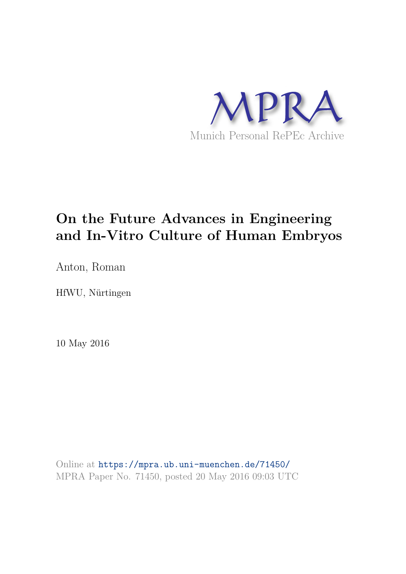

## **On the Future Advances in Engineering and In-Vitro Culture of Human Embryos**

Anton, Roman

HfWU, Nürtingen

10 May 2016

Online at https://mpra.ub.uni-muenchen.de/71450/ MPRA Paper No. 71450, posted 20 May 2016 09:03 UTC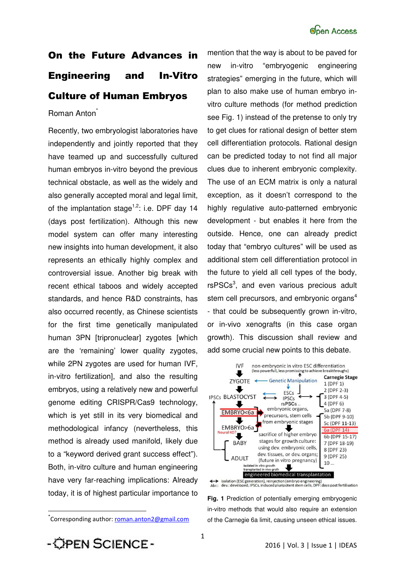# On the Future Advances in Engineering and In-Vitro Culture of Human Embryos

### Roman Anton<sup>\*</sup>

Recently, two embryologist laboratories have independently and jointly reported that they have teamed up and successfully cultured human embryos in-vitro beyond the previous technical obstacle, as well as the widely and also generally accepted moral and legal limit, of the implantation stage<sup>1,2</sup>: i.e. DPF day 14 (days post fertilization). Although this new model system can offer many interesting new insights into human development, it also represents an ethically highly complex and controversial issue. Another big break with recent ethical taboos and widely accepted standards, and hence R&D constraints, has also occurred recently, as Chinese scientists for the first time genetically manipulated human 3PN [tripronuclear] zygotes [which are the 'remaining' lower quality zygotes, while 2PN zygotes are used for human IVF, in-vitro fertilization], and also the resulting embryos, using a relatively new and powerful genome editing CRISPR/Cas9 technology, which is yet still in its very biomedical and methodological infancy (nevertheless, this method is already used manifold, likely due to a "keyword derived grant success effect"). Both, in-vitro culture and human engineering have very far-reaching implications: Already today, it is of highest particular importance to

mention that the way is about to be paved for new in-vitro "embryogenic engineering strategies" emerging in the future, which will plan to also make use of human embryo invitro culture methods (for method prediction see Fig. 1) instead of the pretense to only try to get clues for rational design of better stem cell differentiation protocols. Rational design can be predicted today to not find all major clues due to inherent embryonic complexity. The use of an ECM matrix is only a natural exception, as it doesn't correspond to the highly regulative auto-patterned embryonic development - but enables it here from the outside. Hence, one can already predict today that "embryo cultures" will be used as additional stem cell differentiation protocol in the future to yield all cell types of the body, rsPSCs<sup>3</sup>, and even various precious adult stem cell precursors, and embryonic organs<sup>4</sup> - that could be subsequently grown in-vitro, or in-vivo xenografts (in this case organ growth). This discussion shall review and add some crucial new points to this debate.



isolation (ESC generation), reinjection (embryo engineering)<br>dev.: developed, IPSCs, induced pluripotent stem cells, DPF: days post fertilisation  $\leftrightarrow$  $Abr$ :

**Fig. 1** Prediction of potentially emerging embryogenic in-vitro methods that would also require an extension of the Carnegie 6a limit, causing unseen ethical issues.

 $\overline{\phantom{a}}$ 

<sup>\*</sup>Corresponding author: <u>roman.anton2@gmail.com</u>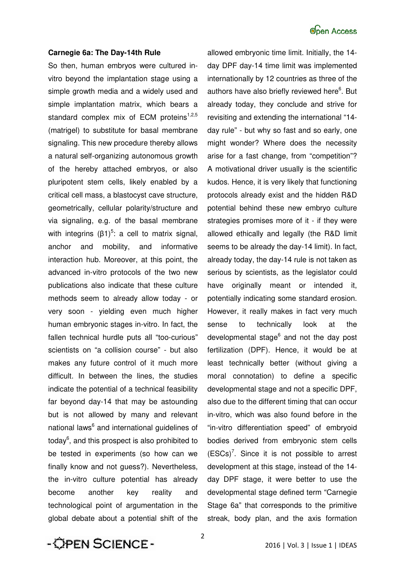#### **Carnegie 6a: The Day-14th Rule**

So then, human embryos were cultured invitro beyond the implantation stage using a simple growth media and a widely used and simple implantation matrix, which bears a standard complex mix of ECM proteins<sup>1,2,5</sup> (matrigel) to substitute for basal membrane signaling. This new procedure thereby allows a natural self-organizing autonomous growth of the hereby attached embryos, or also pluripotent stem cells, likely enabled by a critical cell mass, a blastocyst cave structure, geometrically, cellular polarity/structure and via signaling, e.g. of the basal membrane with integrins  $(β1)<sup>5</sup>$ : a cell to matrix signal, anchor and mobility, and informative interaction hub. Moreover, at this point, the advanced in-vitro protocols of the two new publications also indicate that these culture methods seem to already allow today - or very soon - yielding even much higher human embryonic stages in-vitro. In fact, the fallen technical hurdle puts all "too-curious" scientists on "a collision course" - but also makes any future control of it much more difficult. In between the lines, the studies indicate the potential of a technical feasibility far beyond day-14 that may be astounding but is not allowed by many and relevant national laws<sup>6</sup> and international guidelines of today<sup>6</sup>, and this prospect is also prohibited to be tested in experiments (so how can we finally know and not guess?). Nevertheless, the in-vitro culture potential has already become another key reality and technological point of argumentation in the global debate about a potential shift of the

allowed embryonic time limit. Initially, the 14 day DPF day-14 time limit was implemented internationally by 12 countries as three of the authors have also briefly reviewed here<sup>6</sup>. But already today, they conclude and strive for revisiting and extending the international "14 day rule" - but why so fast and so early, one might wonder? Where does the necessity arise for a fast change, from "competition"? A motivational driver usually is the scientific kudos. Hence, it is very likely that functioning protocols already exist and the hidden R&D potential behind these new embryo culture strategies promises more of it - if they were allowed ethically and legally (the R&D limit seems to be already the day-14 limit). In fact, already today, the day-14 rule is not taken as serious by scientists, as the legislator could have originally meant or intended it, potentially indicating some standard erosion. However, it really makes in fact very much sense to technically look at the developmental stage<sup>6</sup> and not the day post fertilization (DPF). Hence, it would be at least technically better (without giving a moral connotation) to define a specific developmental stage and not a specific DPF, also due to the different timing that can occur in-vitro, which was also found before in the "in-vitro differentiation speed" of embryoid bodies derived from embryonic stem cells  $(ESCs)^7$ . Since it is not possible to arrest development at this stage, instead of the 14 day DPF stage, it were better to use the developmental stage defined term "Carnegie Stage 6a" that corresponds to the primitive streak, body plan, and the axis formation

- OPEN SCIENCE-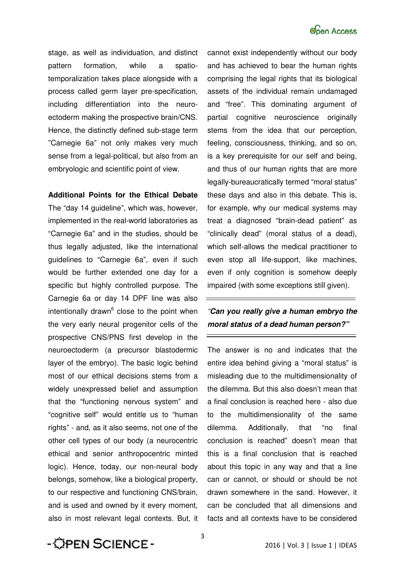stage, as well as individuation, and distinct pattern formation, while a spatiotemporalization takes place alongside with a process called germ layer pre-specification, including differentiation into the neuroectoderm making the prospective brain/CNS. Hence, the distinctly defined sub-stage term "Carnegie 6a" not only makes very much sense from a legal-political, but also from an embryologic and scientific point of view.

### **Additional Points for the Ethical Debate**

The "day 14 guideline", which was, however, implemented in the real-world laboratories as "Carnegie 6a" and in the studies, should be thus legally adjusted, like the international guidelines to "Carnegie 6a", even if such would be further extended one day for a specific but highly controlled purpose. The Carnegie 6a or day 14 DPF line was also intentionally drawn<sup>6</sup> close to the point when the very early neural progenitor cells of the prospective CNS/PNS first develop in the neuroectoderm (a precursor blastodermic layer of the embryo). The basic logic behind most of our ethical decisions stems from a widely unexpressed belief and assumption that the "functioning nervous system" and "cognitive self" would entitle us to "human rights" - and, as it also seems, not one of the other cell types of our body (a neurocentric ethical and senior anthropocentric minted logic). Hence, today, our non-neural body belongs, somehow, like a biological property, to our respective and functioning CNS/brain, and is used and owned by it every moment, also in most relevant legal contexts. But, it cannot exist independently without our body and has achieved to bear the human rights comprising the legal rights that its biological assets of the individual remain undamaged and "free". This dominating argument of partial cognitive neuroscience originally stems from the idea that our perception, feeling, consciousness, thinking, and so on, is a key prerequisite for our self and being, and thus of our human rights that are more legally-bureaucratically termed "moral status" these days and also in this debate. This is, for example, why our medical systems may treat a diagnosed "brain-dead patient" as "clinically dead" (moral status of a dead), which self-allows the medical practitioner to even stop all life-support, like machines, even if only cognition is somehow deeply impaired (with some exceptions still given).

### "*Can you really give a human embryo the moral status of a dead human person?"*

The answer is no and indicates that the entire idea behind giving a "moral status" is misleading due to the multidimensionality of the dilemma. But this also doesn't mean that a final conclusion is reached here - also due to the multidimensionality of the same dilemma. Additionally, that "no final conclusion is reached" doesn't mean that this is a final conclusion that is reached about this topic in any way and that a line can or cannot, or should or should be not drawn somewhere in the sand. However, it can be concluded that all dimensions and facts and all contexts have to be considered

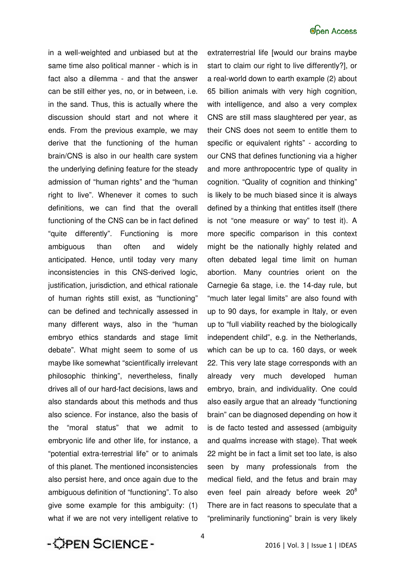

in a well-weighted and unbiased but at the same time also political manner - which is in fact also a dilemma - and that the answer can be still either yes, no, or in between, i.e. in the sand. Thus, this is actually where the discussion should start and not where it ends. From the previous example, we may derive that the functioning of the human brain/CNS is also in our health care system the underlying defining feature for the steady admission of "human rights" and the "human right to live". Whenever it comes to such definitions, we can find that the overall functioning of the CNS can be in fact defined "quite differently". Functioning is more ambiguous than often and widely anticipated. Hence, until today very many inconsistencies in this CNS-derived logic, justification, jurisdiction, and ethical rationale of human rights still exist, as "functioning" can be defined and technically assessed in many different ways, also in the "human embryo ethics standards and stage limit debate". What might seem to some of us maybe like somewhat "scientifically irrelevant philosophic thinking", nevertheless, finally drives all of our hard-fact decisions, laws and also standards about this methods and thus also science. For instance, also the basis of the "moral status" that we admit to embryonic life and other life, for instance, a "potential extra-terrestrial life" or to animals of this planet. The mentioned inconsistencies also persist here, and once again due to the ambiguous definition of "functioning". To also give some example for this ambiguity: (1) what if we are not very intelligent relative to

extraterrestrial life [would our brains maybe start to claim our right to live differently?], or a real-world down to earth example (2) about 65 billion animals with very high cognition, with intelligence, and also a very complex CNS are still mass slaughtered per year, as their CNS does not seem to entitle them to specific or equivalent rights" - according to our CNS that defines functioning via a higher and more anthropocentric type of quality in cognition. "Quality of cognition and thinking" is likely to be much biased since it is always defined by a thinking that entitles itself (there is not "one measure or way" to test it). A more specific comparison in this context might be the nationally highly related and often debated legal time limit on human abortion. Many countries orient on the Carnegie 6a stage, i.e. the 14-day rule, but "much later legal limits" are also found with up to 90 days, for example in Italy, or even up to "full viability reached by the biologically independent child", e.g. in the Netherlands, which can be up to ca. 160 days, or week 22. This very late stage corresponds with an already very much developed human embryo, brain, and individuality. One could also easily argue that an already "functioning brain" can be diagnosed depending on how it is de facto tested and assessed (ambiguity and qualms increase with stage). That week 22 might be in fact a limit set too late, is also seen by many professionals from the medical field, and the fetus and brain may even feel pain already before week  $20^8$ There are in fact reasons to speculate that a "preliminarily functioning" brain is very likely

- OPEN SCIENCE-

4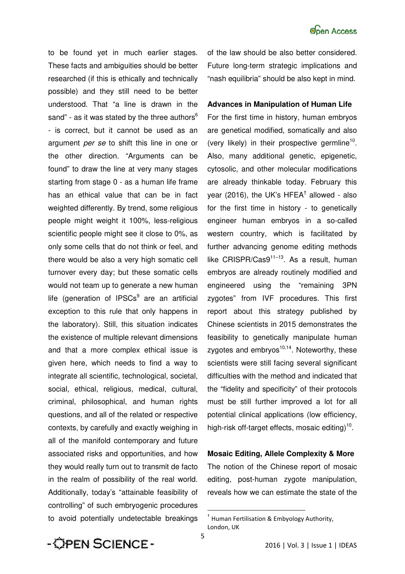to be found yet in much earlier stages. These facts and ambiguities should be better researched (if this is ethically and technically possible) and they still need to be better understood. That "a line is drawn in the sand" - as it was stated by the three authors $6$ - is correct, but it cannot be used as an argument *per se* to shift this line in one or the other direction. "Arguments can be found" to draw the line at very many stages starting from stage 0 - as a human life frame has an ethical value that can be in fact weighted differently. By trend, some religious people might weight it 100%, less-religious scientific people might see it close to 0%, as only some cells that do not think or feel, and there would be also a very high somatic cell turnover every day; but these somatic cells would not team up to generate a new human life (generation of IPSCs<sup>9</sup> are an artificial exception to this rule that only happens in the laboratory). Still, this situation indicates the existence of multiple relevant dimensions and that a more complex ethical issue is given here, which needs to find a way to integrate all scientific, technological, societal, social, ethical, religious, medical, cultural, criminal, philosophical, and human rights questions, and all of the related or respective contexts, by carefully and exactly weighing in all of the manifold contemporary and future associated risks and opportunities, and how they would really turn out to transmit de facto in the realm of possibility of the real world. Additionally, today's "attainable feasibility of controlling" of such embryogenic procedures to avoid potentially undetectable breakings

of the law should be also better considered. Future long-term strategic implications and "nash equilibria" should be also kept in mind.

#### **Advances in Manipulation of Human Life**

For the first time in history, human embryos are genetical modified, somatically and also (very likely) in their prospective germline<sup>10</sup>. Also, many additional genetic, epigenetic, cytosolic, and other molecular modifications are already thinkable today. February this year (2016), the UK's HFEA<sup>†</sup> allowed - also for the first time in history - to genetically engineer human embryos in a so-called western country, which is facilitated by further advancing genome editing methods like CRISPR/Cas $9^{11-13}$ . As a result, human embryos are already routinely modified and engineered using the "remaining 3PN zygotes" from IVF procedures. This first report about this strategy published by Chinese scientists in 2015 demonstrates the feasibility to genetically manipulate human zygotes and  $embryos<sup>10,14</sup>$ . Noteworthy, these scientists were still facing several significant difficulties with the method and indicated that the "fidelity and specificity" of their protocols must be still further improved a lot for all potential clinical applications (low efficiency, high-risk off-target effects, mosaic editing)<sup>10</sup>.

**Mosaic Editing, Allele Complexity & More** The notion of the Chinese report of mosaic editing, post-human zygote manipulation, reveals how we can estimate the state of the



 $\overline{\phantom{a}}$ 

<sup>†</sup> Human Fertilisation & Embyology Authority, London, UK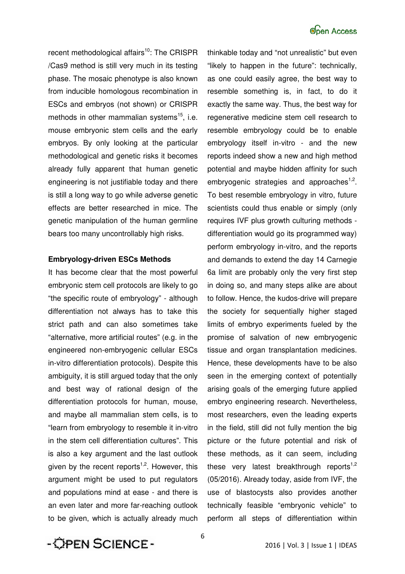recent methodological affairs<sup>10</sup>: The CRISPR /Cas9 method is still very much in its testing phase. The mosaic phenotype is also known from inducible homologous recombination in ESCs and embryos (not shown) or CRISPR methods in other mammalian systems<sup>15</sup>, i.e. mouse embryonic stem cells and the early embryos. By only looking at the particular methodological and genetic risks it becomes already fully apparent that human genetic engineering is not justifiable today and there is still a long way to go while adverse genetic effects are better researched in mice. The genetic manipulation of the human germline bears too many uncontrollably high risks.

#### **Embryology-driven ESCs Methods**

It has become clear that the most powerful embryonic stem cell protocols are likely to go "the specific route of embryology" - although differentiation not always has to take this strict path and can also sometimes take "alternative, more artificial routes" (e.g. in the engineered non-embryogenic cellular ESCs in-vitro differentiation protocols). Despite this ambiguity, it is still argued today that the only and best way of rational design of the differentiation protocols for human, mouse, and maybe all mammalian stem cells, is to "learn from embryology to resemble it in-vitro in the stem cell differentiation cultures". This is also a key argument and the last outlook given by the recent reports<sup>1,2</sup>. However, this argument might be used to put regulators and populations mind at ease - and there is an even later and more far-reaching outlook to be given, which is actually already much

thinkable today and "not unrealistic" but even "likely to happen in the future": technically, as one could easily agree, the best way to resemble something is, in fact, to do it exactly the same way. Thus, the best way for regenerative medicine stem cell research to resemble embryology could be to enable embryology itself in-vitro - and the new reports indeed show a new and high method potential and maybe hidden affinity for such embryogenic strategies and approaches<sup>1,2</sup>. To best resemble embryology in vitro, future scientists could thus enable or simply (only requires IVF plus growth culturing methods differentiation would go its programmed way) perform embryology in-vitro, and the reports and demands to extend the day 14 Carnegie 6a limit are probably only the very first step in doing so, and many steps alike are about to follow. Hence, the kudos-drive will prepare the society for sequentially higher staged limits of embryo experiments fueled by the promise of salvation of new embryogenic tissue and organ transplantation medicines. Hence, these developments have to be also seen in the emerging context of potentially arising goals of the emerging future applied embryo engineering research. Nevertheless, most researchers, even the leading experts in the field, still did not fully mention the big picture or the future potential and risk of these methods, as it can seem, including these very latest breakthrough reports<sup>1,2</sup> (05/2016). Already today, aside from IVF, the use of blastocysts also provides another technically feasible "embryonic vehicle" to perform all steps of differentiation within

- OPEN SCIENCE -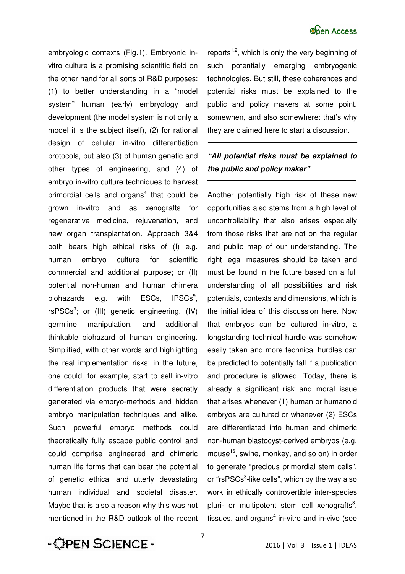embryologic contexts (Fig.1). Embryonic invitro culture is a promising scientific field on the other hand for all sorts of R&D purposes: (1) to better understanding in a "model system" human (early) embryology and development (the model system is not only a model it is the subject itself), (2) for rational design of cellular in-vitro differentiation protocols, but also (3) of human genetic and other types of engineering, and (4) of embryo in-vitro culture techniques to harvest primordial cells and organs<sup>4</sup> that could be grown in-vitro and as xenografts for regenerative medicine, rejuvenation, and new organ transplantation. Approach 3&4 both bears high ethical risks of (I) e.g. human embryo culture for scientific commercial and additional purpose; or (II) potential non-human and human chimera biohazards e.g. with ESCs, IPSCs<sup>9</sup>.  $rsPSCs<sup>3</sup>$ ; or (III) genetic engineering, (IV) germline manipulation, and additional thinkable biohazard of human engineering. Simplified, with other words and highlighting the real implementation risks: in the future, one could, for example, start to sell in-vitro differentiation products that were secretly generated via embryo-methods and hidden embryo manipulation techniques and alike. Such powerful embryo methods could theoretically fully escape public control and could comprise engineered and chimeric human life forms that can bear the potential of genetic ethical and utterly devastating human individual and societal disaster. Maybe that is also a reason why this was not mentioned in the R&D outlook of the recent reports $1,2$ , which is only the very beginning of such potentially emerging embryogenic technologies. But still, these coherences and potential risks must be explained to the public and policy makers at some point, somewhen, and also somewhere: that's why they are claimed here to start a discussion.

### *"All potential risks must be explained to the public and policy maker"*

Another potentially high risk of these new opportunities also stems from a high level of uncontrollability that also arises especially from those risks that are not on the regular and public map of our understanding. The right legal measures should be taken and must be found in the future based on a full understanding of all possibilities and risk potentials, contexts and dimensions, which is the initial idea of this discussion here. Now that embryos can be cultured in-vitro, a longstanding technical hurdle was somehow easily taken and more technical hurdles can be predicted to potentially fall if a publication and procedure is allowed. Today, there is already a significant risk and moral issue that arises whenever (1) human or humanoid embryos are cultured or whenever (2) ESCs are differentiated into human and chimeric non-human blastocyst-derived embryos (e.g. mouse<sup>16</sup>, swine, monkey, and so on) in order to generate "precious primordial stem cells", or "rsPSCs<sup>3</sup>-like cells", which by the way also work in ethically controvertible inter-species pluri- or multipotent stem cell xenografts<sup>3</sup>, tissues, and organs $4$  in-vitro and in-vivo (see

- OPEN SCIENCE-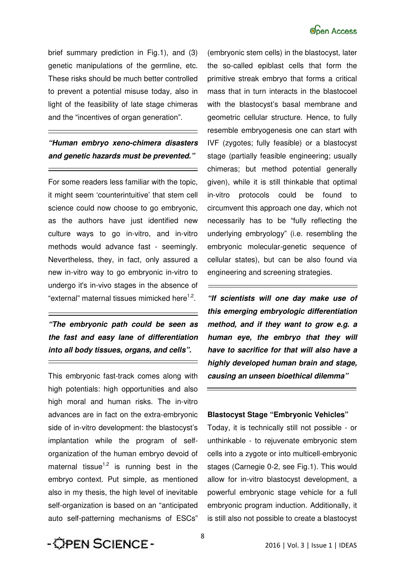

brief summary prediction in Fig.1), and (3) genetic manipulations of the germline, etc. These risks should be much better controlled to prevent a potential misuse today, also in light of the feasibility of late stage chimeras and the "incentives of organ generation".

### *"Human embryo xeno-chimera disasters and genetic hazards must be prevented."*

 $\equiv$ 

For some readers less familiar with the topic, it might seem 'counterintuitive' that stem cell science could now choose to go embryonic, as the authors have just identified new culture ways to go in-vitro, and in-vitro methods would advance fast - seemingly. Nevertheless, they, in fact, only assured a new in-vitro way to go embryonic in-vitro to undergo it's in-vivo stages in the absence of "external" maternal tissues mimicked here<sup>1,2</sup>.

*"The embryonic path could be seen as the fast and easy lane of differentiation into all body tissues, organs, and cells".* 

This embryonic fast-track comes along with high potentials: high opportunities and also high moral and human risks. The in-vitro advances are in fact on the extra-embryonic side of in-vitro development: the blastocyst's implantation while the program of selforganization of the human embryo devoid of maternal tissue<sup>1,2</sup> is running best in the embryo context. Put simple, as mentioned also in my thesis, the high level of inevitable self-organization is based on an "anticipated auto self-patterning mechanisms of ESCs"

(embryonic stem cells) in the blastocyst, later the so-called epiblast cells that form the primitive streak embryo that forms a critical mass that in turn interacts in the blastocoel with the blastocyst's basal membrane and geometric cellular structure. Hence, to fully resemble embryogenesis one can start with IVF (zygotes; fully feasible) or a blastocyst stage (partially feasible engineering; usually chimeras; but method potential generally given), while it is still thinkable that optimal in-vitro protocols could be found to circumvent this approach one day, which not necessarily has to be "fully reflecting the underlying embryology" (i.e. resembling the embryonic molecular-genetic sequence of cellular states), but can be also found via engineering and screening strategies.

*"If scientists will one day make use of this emerging embryologic differentiation method, and if they want to grow e.g. a human eye, the embryo that they will have to sacrifice for that will also have a highly developed human brain and stage, causing an unseen bioethical dilemma"* 

### **Blastocyst Stage "Embryonic Vehicles"**

Today, it is technically still not possible - or unthinkable - to rejuvenate embryonic stem cells into a zygote or into multicell-embryonic stages (Carnegie 0-2, see Fig.1). This would allow for in-vitro blastocyst development, a powerful embryonic stage vehicle for a full embryonic program induction. Additionally, it is still also not possible to create a blastocyst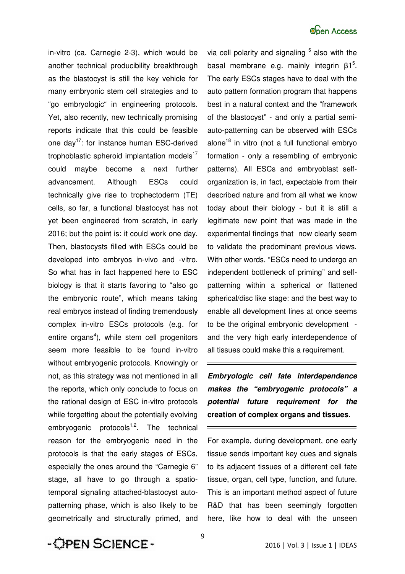in-vitro (ca. Carnegie 2-3), which would be another technical producibility breakthrough as the blastocyst is still the key vehicle for many embryonic stem cell strategies and to "go embryologic" in engineering protocols. Yet, also recently, new technically promising reports indicate that this could be feasible one day<sup>17</sup>: for instance human ESC-derived trophoblastic spheroid implantation models $17$ could maybe become a next further advancement. Although ESCs could technically give rise to trophectoderm (TE) cells, so far, a functional blastocyst has not yet been engineered from scratch, in early 2016; but the point is: it could work one day. Then, blastocysts filled with ESCs could be developed into embryos in-vivo and -vitro. So what has in fact happened here to ESC biology is that it starts favoring to "also go the embryonic route", which means taking real embryos instead of finding tremendously complex in-vitro ESCs protocols (e.g. for entire organs<sup>4</sup>), while stem cell progenitors seem more feasible to be found in-vitro without embryogenic protocols. Knowingly or not, as this strategy was not mentioned in all the reports, which only conclude to focus on the rational design of ESC in-vitro protocols while forgetting about the potentially evolving embryogenic protocols $1,2$ . The technical reason for the embryogenic need in the protocols is that the early stages of ESCs, especially the ones around the "Carnegie 6" stage, all have to go through a spatiotemporal signaling attached-blastocyst autopatterning phase, which is also likely to be geometrically and structurally primed, and

via cell polarity and signaling  $5$  also with the basal membrane e.g. mainly integrin  $β1<sup>5</sup>$ . The early ESCs stages have to deal with the auto pattern formation program that happens best in a natural context and the "framework of the blastocyst" - and only a partial semiauto-patterning can be observed with ESCs alone<sup>18</sup> in vitro (not a full functional embryo formation - only a resembling of embryonic patterns). All ESCs and embryoblast selforganization is, in fact, expectable from their described nature and from all what we know today about their biology - but it is still a legitimate new point that was made in the experimental findings that now clearly seem to validate the predominant previous views. With other words, "ESCs need to undergo an independent bottleneck of priming" and selfpatterning within a spherical or flattened spherical/disc like stage: and the best way to enable all development lines at once seems to be the original embryonic development and the very high early interdependence of all tissues could make this a requirement.

*Embryologic cell fate interdependence makes the "embryogenic protocols" a potential future requirement for the* **creation of complex organs and tissues.**

For example, during development, one early tissue sends important key cues and signals to its adjacent tissues of a different cell fate tissue, organ, cell type, function, and future. This is an important method aspect of future R&D that has been seemingly forgotten here, like how to deal with the unseen

- OPEN SCIENCE -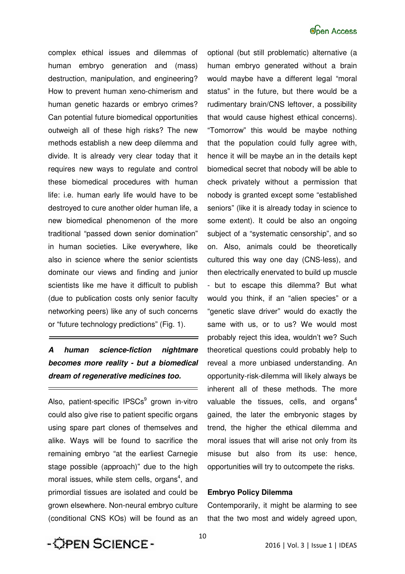

complex ethical issues and dilemmas of human embryo generation and (mass) destruction, manipulation, and engineering? How to prevent human xeno-chimerism and human genetic hazards or embryo crimes? Can potential future biomedical opportunities outweigh all of these high risks? The new methods establish a new deep dilemma and divide. It is already very clear today that it requires new ways to regulate and control these biomedical procedures with human life: i.e. human early life would have to be destroyed to cure another older human life, a new biomedical phenomenon of the more traditional "passed down senior domination" in human societies. Like everywhere, like also in science where the senior scientists dominate our views and finding and junior scientists like me have it difficult to publish (due to publication costs only senior faculty networking peers) like any of such concerns or "future technology predictions" (Fig. 1).

### *A human science-fiction nightmare becomes more reality - but a biomedical dream of regenerative medicines too.*

Also, patient-specific IPSCs<sup>9</sup> grown in-vitro could also give rise to patient specific organs using spare part clones of themselves and alike. Ways will be found to sacrifice the remaining embryo "at the earliest Carnegie stage possible (approach)" due to the high moral issues, while stem cells, organs<sup>4</sup>, and primordial tissues are isolated and could be grown elsewhere. Non-neural embryo culture (conditional CNS KOs) will be found as an

optional (but still problematic) alternative (a human embryo generated without a brain would maybe have a different legal "moral status" in the future, but there would be a rudimentary brain/CNS leftover, a possibility that would cause highest ethical concerns). "Tomorrow" this would be maybe nothing that the population could fully agree with, hence it will be maybe an in the details kept biomedical secret that nobody will be able to check privately without a permission that nobody is granted except some "established seniors" (like it is already today in science to some extent). It could be also an ongoing subject of a "systematic censorship", and so on. Also, animals could be theoretically cultured this way one day (CNS-less), and then electrically enervated to build up muscle - but to escape this dilemma? But what would you think, if an "alien species" or a "genetic slave driver" would do exactly the same with us, or to us? We would most probably reject this idea, wouldn't we? Such theoretical questions could probably help to reveal a more unbiased understanding. An opportunity-risk-dilemma will likely always be inherent all of these methods. The more valuable the tissues, cells, and organs $4$ gained, the later the embryonic stages by trend, the higher the ethical dilemma and moral issues that will arise not only from its misuse but also from its use: hence, opportunities will try to outcompete the risks.

#### **Embryo Policy Dilemma**

Contemporarily, it might be alarming to see that the two most and widely agreed upon,

- OPEN SCIENCE-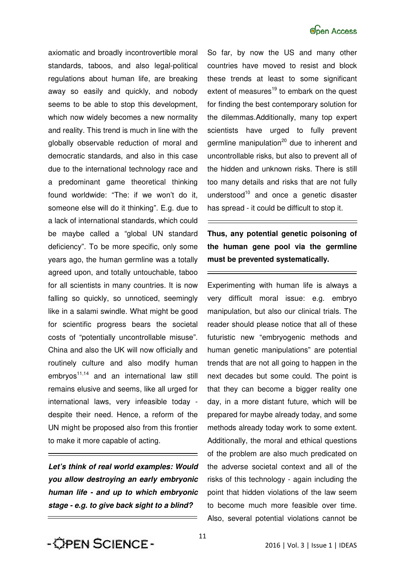

axiomatic and broadly incontrovertible moral standards, taboos, and also legal-political regulations about human life, are breaking away so easily and quickly, and nobody seems to be able to stop this development, which now widely becomes a new normality and reality. This trend is much in line with the globally observable reduction of moral and democratic standards, and also in this case due to the international technology race and a predominant game theoretical thinking found worldwide: "The: if we won't do it, someone else will do it thinking". E.g. due to a lack of international standards, which could be maybe called a "global UN standard deficiency". To be more specific, only some years ago, the human germline was a totally agreed upon, and totally untouchable, taboo for all scientists in many countries. It is now falling so quickly, so unnoticed, seemingly like in a salami swindle. What might be good for scientific progress bears the societal costs of "potentially uncontrollable misuse". China and also the UK will now officially and routinely culture and also modify human  $embryos<sup>11,14</sup>$  and an international law still remains elusive and seems, like all urged for international laws, very infeasible today despite their need. Hence, a reform of the UN might be proposed also from this frontier to make it more capable of acting.

*Let's think of real world examples: Would you allow destroying an early embryonic human life - and up to which embryonic stage - e.g. to give back sight to a blind?* 

So far, by now the US and many other countries have moved to resist and block these trends at least to some significant extent of measures $19$  to embark on the quest for finding the best contemporary solution for the dilemmas.Additionally, many top expert scientists have urged to fully prevent germline manipulation<sup>20</sup> due to inherent and uncontrollable risks, but also to prevent all of the hidden and unknown risks. There is still too many details and risks that are not fully understood<sup>10</sup> and once a genetic disaster has spread - it could be difficult to stop it.

### **Thus, any potential genetic poisoning of the human gene pool via the germline must be prevented systematically.**

Experimenting with human life is always a very difficult moral issue: e.g. embryo manipulation, but also our clinical trials. The reader should please notice that all of these futuristic new "embryogenic methods and human genetic manipulations" are potential trends that are not all going to happen in the next decades but some could. The point is that they can become a bigger reality one day, in a more distant future, which will be prepared for maybe already today, and some methods already today work to some extent. Additionally, the moral and ethical questions of the problem are also much predicated on the adverse societal context and all of the risks of this technology - again including the point that hidden violations of the law seem to become much more feasible over time. Also, several potential violations cannot be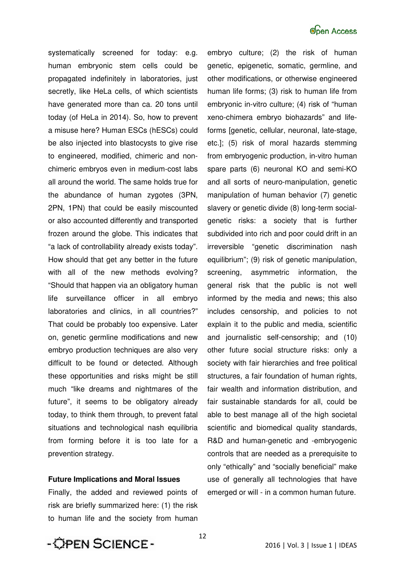

systematically screened for today: e.g. human embryonic stem cells could be propagated indefinitely in laboratories, just secretly, like HeLa cells, of which scientists have generated more than ca. 20 tons until today (of HeLa in 2014). So, how to prevent a misuse here? Human ESCs (hESCs) could be also injected into blastocysts to give rise to engineered, modified, chimeric and nonchimeric embryos even in medium-cost labs all around the world. The same holds true for the abundance of human zygotes (3PN, 2PN, 1PN) that could be easily miscounted or also accounted differently and transported frozen around the globe. This indicates that "a lack of controllability already exists today". How should that get any better in the future with all of the new methods evolving? "Should that happen via an obligatory human life surveillance officer in all embryo laboratories and clinics, in all countries?" That could be probably too expensive. Later on, genetic germline modifications and new embryo production techniques are also very difficult to be found or detected. Although these opportunities and risks might be still much "like dreams and nightmares of the future", it seems to be obligatory already today, to think them through, to prevent fatal situations and technological nash equilibria from forming before it is too late for a prevention strategy.

#### **Future Implications and Moral Issues**

Finally, the added and reviewed points of risk are briefly summarized here: (1) the risk to human life and the society from human

embryo culture; (2) the risk of human genetic, epigenetic, somatic, germline, and other modifications, or otherwise engineered human life forms; (3) risk to human life from embryonic in-vitro culture; (4) risk of "human xeno-chimera embryo biohazards" and lifeforms [genetic, cellular, neuronal, late-stage, etc.]; (5) risk of moral hazards stemming from embryogenic production, in-vitro human spare parts (6) neuronal KO and semi-KO and all sorts of neuro-manipulation, genetic manipulation of human behavior (7) genetic slavery or genetic divide (8) long-term socialgenetic risks: a society that is further subdivided into rich and poor could drift in an irreversible "genetic discrimination nash equilibrium"; (9) risk of genetic manipulation, screening, asymmetric information, the general risk that the public is not well informed by the media and news; this also includes censorship, and policies to not explain it to the public and media, scientific and journalistic self-censorship; and (10) other future social structure risks: only a society with fair hierarchies and free political structures, a fair foundation of human rights, fair wealth and information distribution, and fair sustainable standards for all, could be able to best manage all of the high societal scientific and biomedical quality standards, R&D and human-genetic and -embryogenic controls that are needed as a prerequisite to only "ethically" and "socially beneficial" make use of generally all technologies that have emerged or will - in a common human future.

- OPEN SCIENCE -